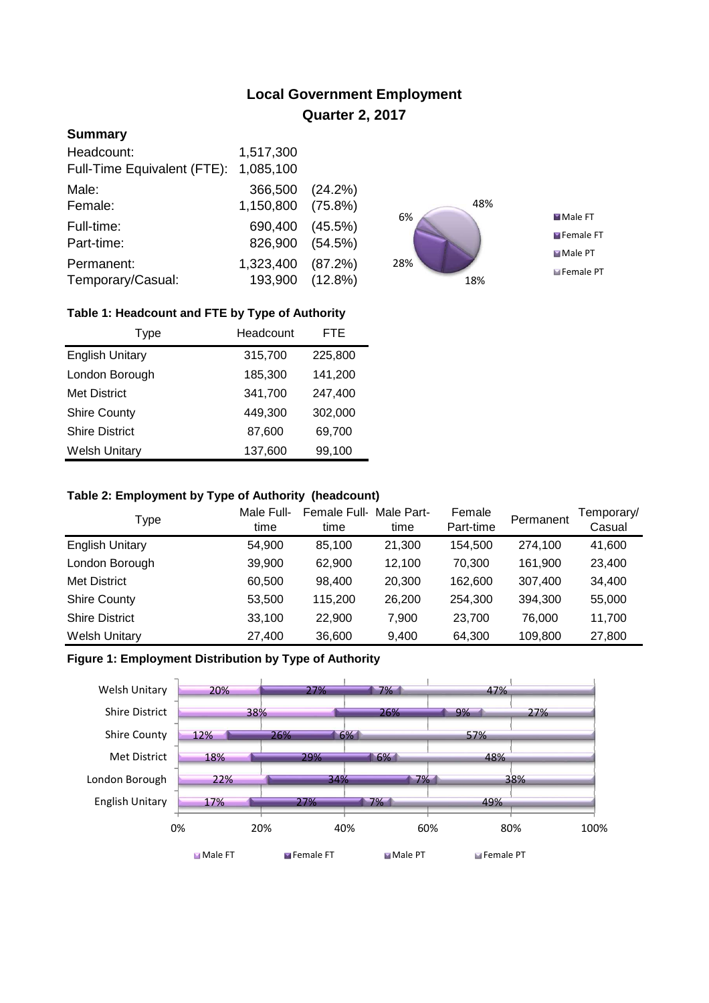# **Local Government Employment Quarter 2, 2017**

## **Summary**

| Headcount:<br>Full-Time Equivalent (FTE): | 1,517,300<br>1,085,100       |                          |
|-------------------------------------------|------------------------------|--------------------------|
| Male:                                     | 366,500                      | (24.2%)                  |
| Female:<br>Full-time:                     | 1,150,800<br>690,400         | $(75.8\%)$<br>$(45.5\%)$ |
| Part-time:                                | 826,900                      | (54.5%)                  |
| Permanent:<br>Temporary/Casual:           | 1,323,400<br>193,900 (12.8%) | (87.2%)                  |



## **Table 1: Headcount and FTE by Type of Authority**

| Type                   | Headcount |         |
|------------------------|-----------|---------|
| <b>English Unitary</b> | 315,700   | 225,800 |
| London Borough         | 185,300   | 141,200 |
| <b>Met District</b>    | 341,700   | 247,400 |
| <b>Shire County</b>    | 449,300   | 302,000 |
| <b>Shire District</b>  | 87,600    | 69,700  |
| <b>Welsh Unitary</b>   | 137,600   | 99,100  |

#### **Table 2: Employment by Type of Authority (headcount)**

| Type                   | Male Full-<br>time | Female Full-<br>time | Male Part-<br>time | Female<br>Part-time | Permanent | Femporary/<br>Casual |
|------------------------|--------------------|----------------------|--------------------|---------------------|-----------|----------------------|
| <b>English Unitary</b> | 54,900             | 85.100               | 21,300             | 154.500             | 274,100   | 41,600               |
| London Borough         | 39,900             | 62.900               | 12.100             | 70,300              | 161,900   | 23,400               |
| <b>Met District</b>    | 60,500             | 98,400               | 20,300             | 162,600             | 307,400   | 34,400               |
| <b>Shire County</b>    | 53,500             | 115,200              | 26,200             | 254,300             | 394,300   | 55,000               |
| <b>Shire District</b>  | 33,100             | 22,900               | 7.900              | 23,700              | 76,000    | 11,700               |
| <b>Welsh Unitary</b>   | 27,400             | 36,600               | 9,400              | 64,300              | 109,800   | 27,800               |

### **Figure 1: Employment Distribution by Type of Authority**